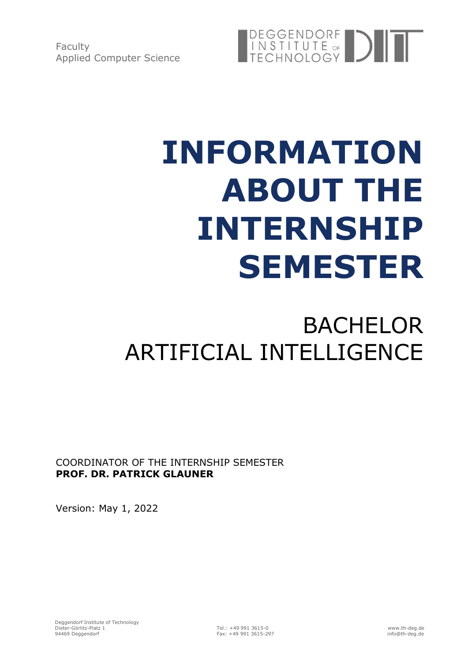Faculty Applied Computer Science



# **INFORMATION ABOUT THE INTERNSHIP SEMESTER**

## BACHELOR ARTIFICIAL INTELLIGENCE

COORDINATOR OF THE INTERNSHIP SEMESTER **PROF. DR. PATRICK GLAUNER**

Version: May 1, 2022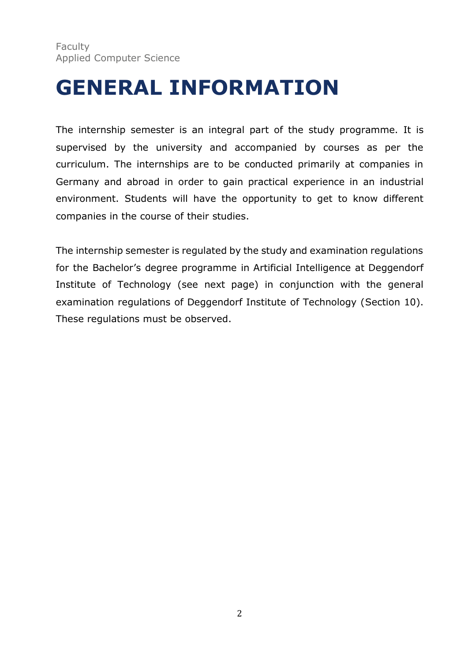### **GENERAL INFORMATION**

The internship semester is an integral part of the study programme. It is supervised by the university and accompanied by courses as per the curriculum. The internships are to be conducted primarily at companies in Germany and abroad in order to gain practical experience in an industrial environment. Students will have the opportunity to get to know different companies in the course of their studies.

The internship semester is regulated by the study and examination regulations for the Bachelor's degree programme in Artificial Intelligence at Deggendorf Institute of Technology (see next page) in conjunction with the general examination regulations of Deggendorf Institute of Technology (Section 10). These regulations must be observed.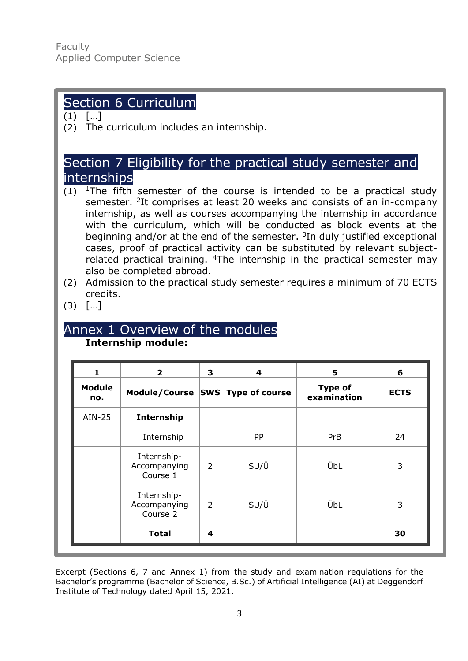#### Section 6 Curriculum

 $(1)$   $[...]$ 

(2) The curriculum includes an internship.

#### Section 7 Eligibility for the practical study semester and internships

- (1)  $1$ The fifth semester of the course is intended to be a practical study semester. <sup>2</sup>It comprises at least 20 weeks and consists of an in-company internship, as well as courses accompanying the internship in accordance with the curriculum, which will be conducted as block events at the beginning and/or at the end of the semester.  $3$ In duly justified exceptional cases, proof of practical activity can be substituted by relevant subjectrelated practical training. <sup>4</sup>The internship in the practical semester mav also be completed abroad.
- (2) Admission to the practical study semester requires a minimum of 70 ECTS credits.
- (3) […]

#### Annex 1 Overview of the modules **Internship module:**

| 1                    | $\overline{\mathbf{2}}$                 | 3              | 4                     | 5                             | 6           |
|----------------------|-----------------------------------------|----------------|-----------------------|-------------------------------|-------------|
| <b>Module</b><br>no. | Module/Course SWS                       |                | <b>Type of course</b> | <b>Type of</b><br>examination | <b>ECTS</b> |
| AIN-25               | Internship                              |                |                       |                               |             |
|                      | Internship                              |                | PP                    | <b>PrB</b>                    | 24          |
|                      | Internship-<br>Accompanying<br>Course 1 | $\overline{2}$ | SU/Ü                  | ÜbL                           | 3           |
|                      | Internship-<br>Accompanying<br>Course 2 | $\overline{2}$ | SU/Ü                  | ÜbL                           | 3           |
|                      | <b>Total</b>                            | 4              |                       |                               | 30          |

Excerpt (Sections 6, 7 and Annex 1) from the study and examination regulations for the Bachelor's programme (Bachelor of Science, B.Sc.) of Artificial Intelligence (AI) at Deggendorf Institute of Technology dated April 15, 2021.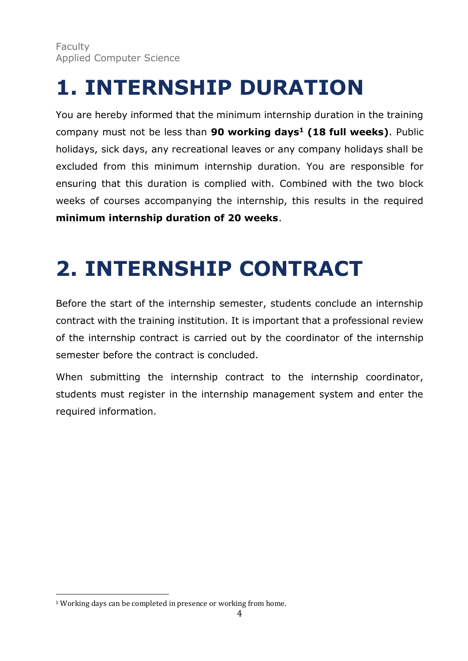### **1. INTERNSHIP DURATION**

You are hereby informed that the minimum internship duration in the training company must not be less than **90 working days<sup>1</sup> (18 full weeks)**. Public holidays, sick days, any recreational leaves or any company holidays shall be excluded from this minimum internship duration. You are responsible for ensuring that this duration is complied with. Combined with the two block weeks of courses accompanying the internship, this results in the required **minimum internship duration of 20 weeks**.

# **2. INTERNSHIP CONTRACT**

Before the start of the internship semester, students conclude an internship contract with the training institution. It is important that a professional review of the internship contract is carried out by the coordinator of the internship semester before the contract is concluded.

When submitting the internship contract to the internship coordinator, students must register in the internship management system and enter the required information.

<sup>&</sup>lt;sup>1</sup> Working days can be completed in presence or working from home.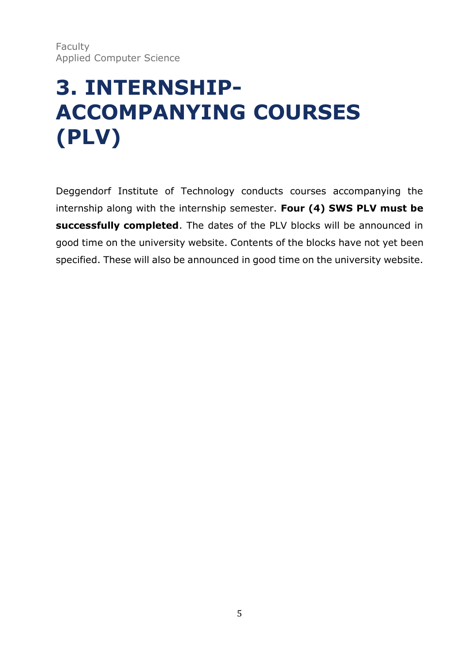### **3. INTERNSHIP-ACCOMPANYING COURSES (PLV)**

Deggendorf Institute of Technology conducts courses accompanying the internship along with the internship semester. **Four (4) SWS PLV must be successfully completed**. The dates of the PLV blocks will be announced in good time on the university website. Contents of the blocks have not yet been specified. These will also be announced in good time on the university website.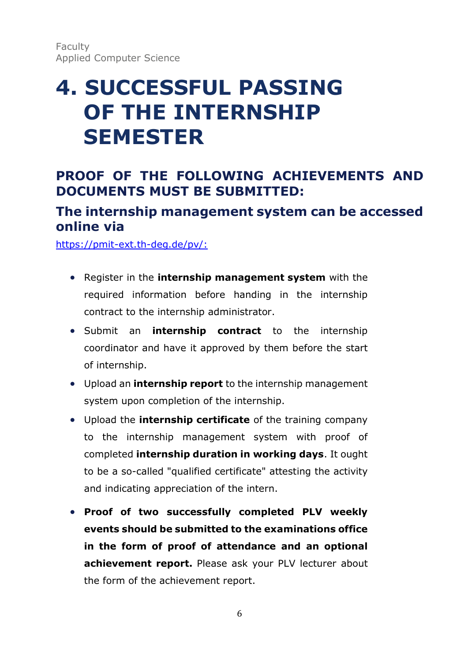### **4. SUCCESSFUL PASSING OF THE INTERNSHIP SEMESTER**

#### **PROOF OF THE FOLLOWING ACHIEVEMENTS AND DOCUMENTS MUST BE SUBMITTED:**

#### **The internship management system can be accessed online via**

[https://pmit-ext.th-deg.de/pv/:](https://pmit-ext.th-deg.de/pv/)

- Register in the **internship management system** with the required information before handing in the internship contract to the internship administrator.
- Submit an **internship contract** to the internship coordinator and have it approved by them before the start of internship.
- Upload an **internship report** to the internship management system upon completion of the internship.
- Upload the **internship certificate** of the training company to the internship management system with proof of completed **internship duration in working days**. It ought to be a so-called "qualified certificate" attesting the activity and indicating appreciation of the intern.
- **Proof of two successfully completed PLV weekly events should be submitted to the examinations office in the form of proof of attendance and an optional achievement report.** Please ask your PLV lecturer about the form of the achievement report.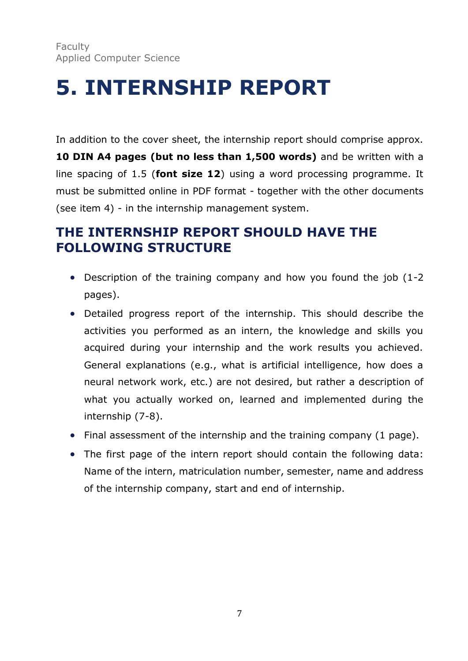### **5. INTERNSHIP REPORT**

In addition to the cover sheet, the internship report should comprise approx. **10 DIN A4 pages (but no less than 1,500 words)** and be written with a line spacing of 1.5 (**font size 12**) using a word processing programme. It must be submitted online in PDF format - together with the other documents (see item 4) - in the internship management system.

#### **THE INTERNSHIP REPORT SHOULD HAVE THE FOLLOWING STRUCTURE**

- Description of the training company and how you found the job (1-2 pages).
- Detailed progress report of the internship. This should describe the activities you performed as an intern, the knowledge and skills you acquired during your internship and the work results you achieved. General explanations (e.g., what is artificial intelligence, how does a neural network work, etc.) are not desired, but rather a description of what you actually worked on, learned and implemented during the internship (7-8).
- Final assessment of the internship and the training company (1 page).
- The first page of the intern report should contain the following data: Name of the intern, matriculation number, semester, name and address of the internship company, start and end of internship.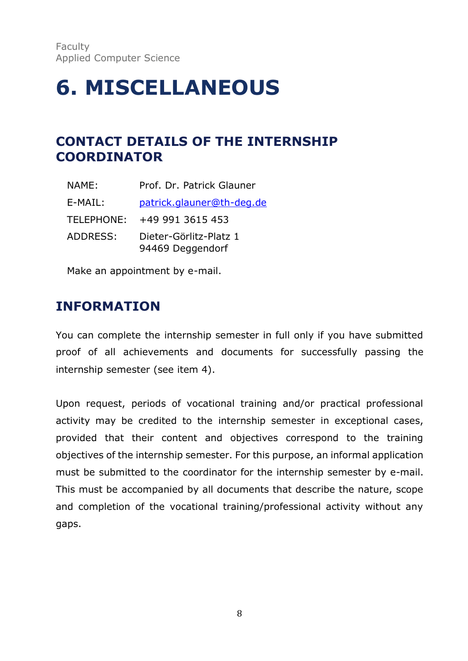### **6. MISCELLANEOUS**

#### **CONTACT DETAILS OF THE INTERNSHIP COORDINATOR**

| NAME:      | Prof. Dr. Patrick Glauner                  |
|------------|--------------------------------------------|
| E-MAIL:    | patrick.glauner@th-deg.de                  |
| TELEPHONE: | +49 991 3615 453                           |
| ADDRESS:   | Dieter-Görlitz-Platz 1<br>94469 Deggendorf |

Make an appointment by e-mail.

#### **INFORMATION**

You can complete the internship semester in full only if you have submitted proof of all achievements and documents for successfully passing the internship semester (see item 4).

Upon request, periods of vocational training and/or practical professional activity may be credited to the internship semester in exceptional cases, provided that their content and objectives correspond to the training objectives of the internship semester. For this purpose, an informal application must be submitted to the coordinator for the internship semester by e-mail. This must be accompanied by all documents that describe the nature, scope and completion of the vocational training/professional activity without any gaps.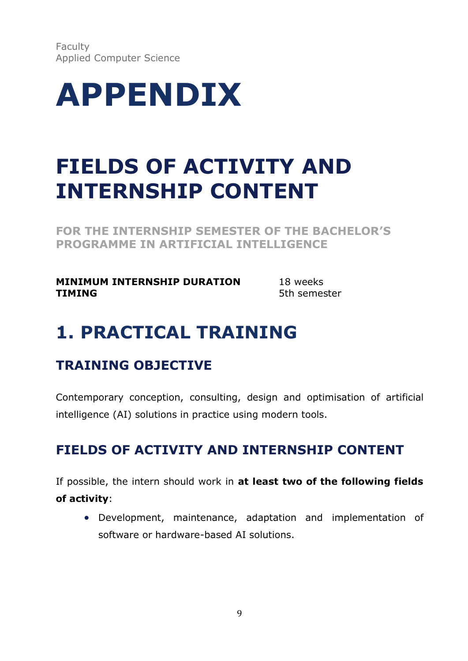Faculty Applied Computer Science



### **FIELDS OF ACTIVITY AND INTERNSHIP CONTENT**

**FOR THE INTERNSHIP SEMESTER OF THE BACHELOR'S PROGRAMME IN ARTIFICIAL INTELLIGENCE**

**MINIMUM INTERNSHIP DURATION** 18 weeks **TIMING** 5th semester

### **1. PRACTICAL TRAINING**

#### **TRAINING OBJECTIVE**

Contemporary conception, consulting, design and optimisation of artificial intelligence (AI) solutions in practice using modern tools.

#### **FIELDS OF ACTIVITY AND INTERNSHIP CONTENT**

If possible, the intern should work in **at least two of the following fields of activity**:

• Development, maintenance, adaptation and implementation of software or hardware-based AI solutions.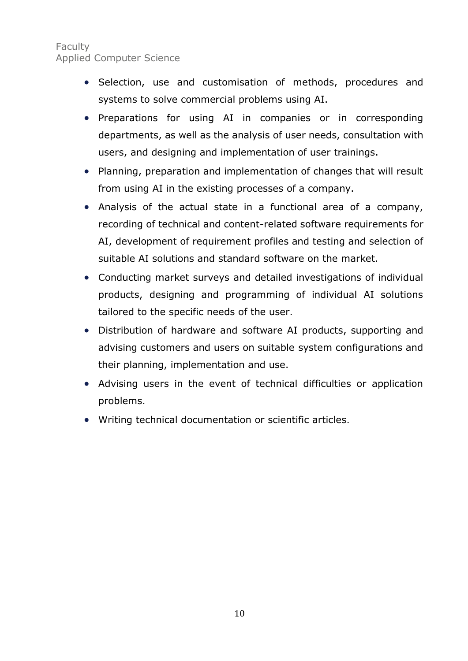#### Faculty Applied Computer Science

- Selection, use and customisation of methods, procedures and systems to solve commercial problems using AI.
- Preparations for using AI in companies or in corresponding departments, as well as the analysis of user needs, consultation with users, and designing and implementation of user trainings.
- Planning, preparation and implementation of changes that will result from using AI in the existing processes of a company.
- Analysis of the actual state in a functional area of a company, recording of technical and content-related software requirements for AI, development of requirement profiles and testing and selection of suitable AI solutions and standard software on the market.
- Conducting market surveys and detailed investigations of individual products, designing and programming of individual AI solutions tailored to the specific needs of the user.
- Distribution of hardware and software AI products, supporting and advising customers and users on suitable system configurations and their planning, implementation and use.
- Advising users in the event of technical difficulties or application problems.
- Writing technical documentation or scientific articles.